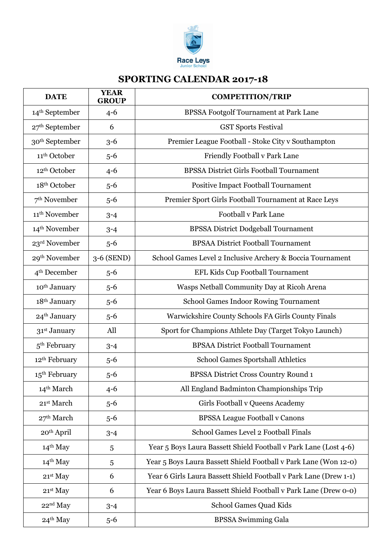

## **SPORTING CALENDAR 2017-18**

| <b>DATE</b>                | <b>YEAR</b><br><b>GROUP</b> | <b>COMPETITION/TRIP</b>                                           |
|----------------------------|-----------------------------|-------------------------------------------------------------------|
| 14 <sup>th</sup> September | $4 - 6$                     | <b>BPSSA Footgolf Tournament at Park Lane</b>                     |
| $27th$ September           | 6                           | <b>GST Sports Festival</b>                                        |
| 30 <sup>th</sup> September | $3 - 6$                     | Premier League Football - Stoke City v Southampton                |
| 11 <sup>th</sup> October   | $5 - 6$                     | Friendly Football v Park Lane                                     |
| 12 <sup>th</sup> October   | $4 - 6$                     | <b>BPSSA District Girls Football Tournament</b>                   |
| 18 <sup>th</sup> October   | $5 - 6$                     | <b>Positive Impact Football Tournament</b>                        |
| $7th$ November             | $5 - 6$                     | Premier Sport Girls Football Tournament at Race Leys              |
| 11 <sup>th</sup> November  | $3 - 4$                     | <b>Football v Park Lane</b>                                       |
| 14 <sup>th</sup> November  | $3 - 4$                     | <b>BPSSA District Dodgeball Tournament</b>                        |
| 23 <sup>rd</sup> November  | $5 - 6$                     | <b>BPSAA District Football Tournament</b>                         |
| 29 <sup>th</sup> November  | 3-6 (SEND)                  | School Games Level 2 Inclusive Archery & Boccia Tournament        |
| 4 <sup>th</sup> December   | $5 - 6$                     | EFL Kids Cup Football Tournament                                  |
| 10 <sup>th</sup> January   | $5 - 6$                     | Wasps Netball Community Day at Ricoh Arena                        |
| 18 <sup>th</sup> January   | $5 - 6$                     | <b>School Games Indoor Rowing Tournament</b>                      |
| 24 <sup>th</sup> January   | $5 - 6$                     | Warwickshire County Schools FA Girls County Finals                |
| 31 <sup>st</sup> January   | All                         | Sport for Champions Athlete Day (Target Tokyo Launch)             |
| $5th$ February             | $3 - 4$                     | <b>BPSAA District Football Tournament</b>                         |
| 12 <sup>th</sup> February  | $5 - 6$                     | <b>School Games Sportshall Athletics</b>                          |
| $15th$ February            | $5 - 6$                     | BPSSA District Cross Country Round 1                              |
| 14 <sup>th</sup> March     | $4 - 6$                     | All England Badminton Championships Trip                          |
| 21st March                 | $5 - 6$                     | Girls Football v Queens Academy                                   |
| 27 <sup>th</sup> March     | $5 - 6$                     | <b>BPSSA League Football v Canons</b>                             |
| 20 <sup>th</sup> April     | $3 - 4$                     | School Games Level 2 Football Finals                              |
| 14 <sup>th</sup> May       | 5                           | Year 5 Boys Laura Bassett Shield Football v Park Lane (Lost 4-6)  |
| $14th$ May                 | 5                           | Year 5 Boys Laura Bassett Shield Football v Park Lane (Won 12-0)  |
| $21st$ May                 | 6                           | Year 6 Girls Laura Bassett Shield Football v Park Lane (Drew 1-1) |
| $21st$ May                 | 6                           | Year 6 Boys Laura Bassett Shield Football v Park Lane (Drew 0-0)  |
| $22nd$ May                 | $3 - 4$                     | School Games Quad Kids                                            |
| $24th$ May                 | $5 - 6$                     | <b>BPSSA Swimming Gala</b>                                        |